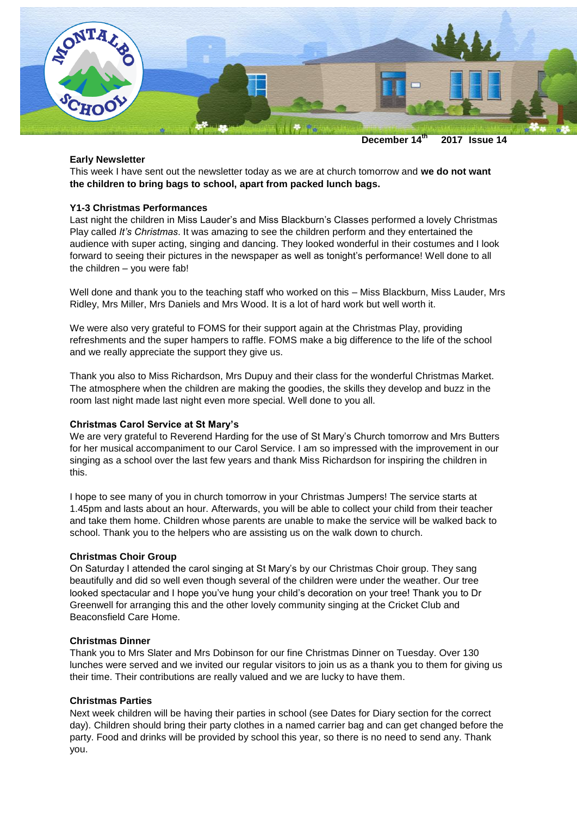

**December 14 th 2017 Issue 14**

#### **Early Newsletter**

This week I have sent out the newsletter today as we are at church tomorrow and **we do not want the children to bring bags to school, apart from packed lunch bags.**

## **Y1-3 Christmas Performances**

Last night the children in Miss Lauder's and Miss Blackburn's Classes performed a lovely Christmas Play called *It's Christmas*. It was amazing to see the children perform and they entertained the audience with super acting, singing and dancing. They looked wonderful in their costumes and I look forward to seeing their pictures in the newspaper as well as tonight's performance! Well done to all the children – you were fab!

Well done and thank you to the teaching staff who worked on this – Miss Blackburn, Miss Lauder, Mrs Ridley, Mrs Miller, Mrs Daniels and Mrs Wood. It is a lot of hard work but well worth it.

We were also very grateful to FOMS for their support again at the Christmas Play, providing refreshments and the super hampers to raffle. FOMS make a big difference to the life of the school and we really appreciate the support they give us.

Thank you also to Miss Richardson, Mrs Dupuy and their class for the wonderful Christmas Market. The atmosphere when the children are making the goodies, the skills they develop and buzz in the room last night made last night even more special. Well done to you all.

#### **Christmas Carol Service at St Mary's**

We are very grateful to Reverend Harding for the use of St Mary's Church tomorrow and Mrs Butters for her musical accompaniment to our Carol Service. I am so impressed with the improvement in our singing as a school over the last few years and thank Miss Richardson for inspiring the children in this.

I hope to see many of you in church tomorrow in your Christmas Jumpers! The service starts at 1.45pm and lasts about an hour. Afterwards, you will be able to collect your child from their teacher and take them home. Children whose parents are unable to make the service will be walked back to school. Thank you to the helpers who are assisting us on the walk down to church.

#### **Christmas Choir Group**

On Saturday I attended the carol singing at St Mary's by our Christmas Choir group. They sang beautifully and did so well even though several of the children were under the weather. Our tree looked spectacular and I hope you've hung your child's decoration on your tree! Thank you to Dr Greenwell for arranging this and the other lovely community singing at the Cricket Club and Beaconsfield Care Home.

### **Christmas Dinner**

Thank you to Mrs Slater and Mrs Dobinson for our fine Christmas Dinner on Tuesday. Over 130 lunches were served and we invited our regular visitors to join us as a thank you to them for giving us their time. Their contributions are really valued and we are lucky to have them.

# **Christmas Parties**

Next week children will be having their parties in school (see Dates for Diary section for the correct day). Children should bring their party clothes in a named carrier bag and can get changed before the party. Food and drinks will be provided by school this year, so there is no need to send any. Thank you.